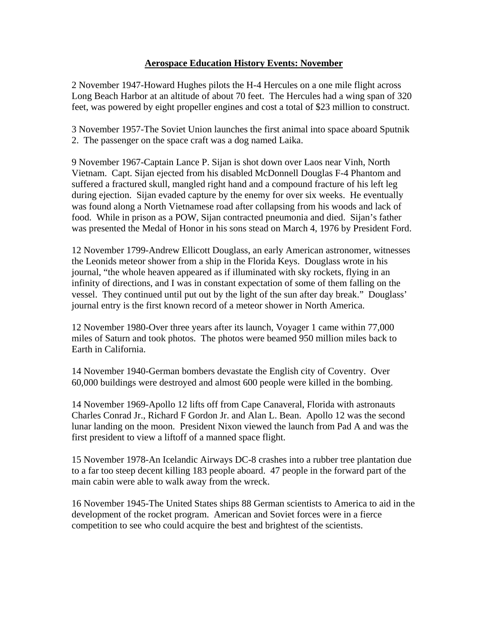## **Aerospace Education History Events: November**

2 November 1947-Howard Hughes pilots the H-4 Hercules on a one mile flight across Long Beach Harbor at an altitude of about 70 feet. The Hercules had a wing span of 320 feet, was powered by eight propeller engines and cost a total of \$23 million to construct.

3 November 1957-The Soviet Union launches the first animal into space aboard Sputnik 2. The passenger on the space craft was a dog named Laika.

9 November 1967-Captain Lance P. Sijan is shot down over Laos near Vinh, North Vietnam. Capt. Sijan ejected from his disabled McDonnell Douglas F-4 Phantom and suffered a fractured skull, mangled right hand and a compound fracture of his left leg during ejection. Sijan evaded capture by the enemy for over six weeks. He eventually was found along a North Vietnamese road after collapsing from his woods and lack of food. While in prison as a POW, Sijan contracted pneumonia and died. Sijan's father was presented the Medal of Honor in his sons stead on March 4, 1976 by President Ford.

12 November 1799-Andrew Ellicott Douglass, an early American astronomer, witnesses the Leonids meteor shower from a ship in the Florida Keys. Douglass wrote in his journal, "the whole heaven appeared as if illuminated with sky rockets, flying in an infinity of directions, and I was in constant expectation of some of them falling on the vessel. They continued until put out by the light of the sun after day break." Douglass' journal entry is the first known record of a meteor shower in North America.

12 November 1980-Over three years after its launch, Voyager 1 came within 77,000 miles of Saturn and took photos. The photos were beamed 950 million miles back to Earth in California.

14 November 1940-German bombers devastate the English city of Coventry. Over 60,000 buildings were destroyed and almost 600 people were killed in the bombing.

14 November 1969-Apollo 12 lifts off from Cape Canaveral, Florida with astronauts Charles Conrad Jr., Richard F Gordon Jr. and Alan L. Bean. Apollo 12 was the second lunar landing on the moon. President Nixon viewed the launch from Pad A and was the first president to view a liftoff of a manned space flight.

15 November 1978-An Icelandic Airways DC-8 crashes into a rubber tree plantation due to a far too steep decent killing 183 people aboard. 47 people in the forward part of the main cabin were able to walk away from the wreck.

16 November 1945-The United States ships 88 German scientists to America to aid in the development of the rocket program. American and Soviet forces were in a fierce competition to see who could acquire the best and brightest of the scientists.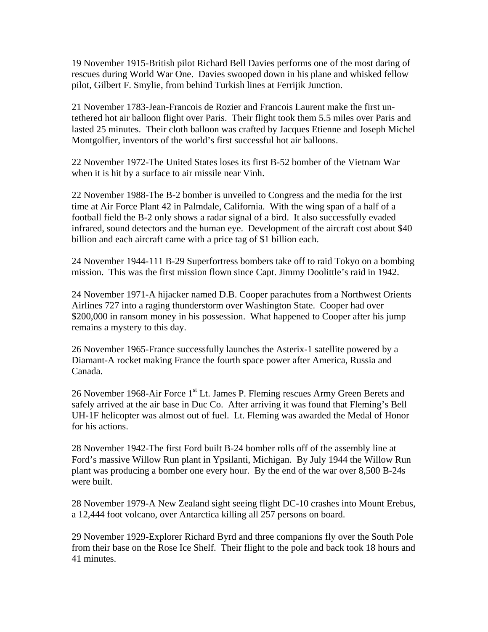19 November 1915-British pilot Richard Bell Davies performs one of the most daring of rescues during World War One. Davies swooped down in his plane and whisked fellow pilot, Gilbert F. Smylie, from behind Turkish lines at Ferrijik Junction.

21 November 1783-Jean-Francois de Rozier and Francois Laurent make the first untethered hot air balloon flight over Paris. Their flight took them 5.5 miles over Paris and lasted 25 minutes. Their cloth balloon was crafted by Jacques Etienne and Joseph Michel Montgolfier, inventors of the world's first successful hot air balloons.

22 November 1972-The United States loses its first B-52 bomber of the Vietnam War when it is hit by a surface to air missile near Vinh.

22 November 1988-The B-2 bomber is unveiled to Congress and the media for the irst time at Air Force Plant 42 in Palmdale, California. With the wing span of a half of a football field the B-2 only shows a radar signal of a bird. It also successfully evaded infrared, sound detectors and the human eye. Development of the aircraft cost about \$40 billion and each aircraft came with a price tag of \$1 billion each.

24 November 1944-111 B-29 Superfortress bombers take off to raid Tokyo on a bombing mission. This was the first mission flown since Capt. Jimmy Doolittle's raid in 1942.

24 November 1971-A hijacker named D.B. Cooper parachutes from a Northwest Orients Airlines 727 into a raging thunderstorm over Washington State. Cooper had over \$200,000 in ransom money in his possession. What happened to Cooper after his jump remains a mystery to this day.

26 November 1965-France successfully launches the Asterix-1 satellite powered by a Diamant-A rocket making France the fourth space power after America, Russia and Canada.

26 November 1968-Air Force 1<sup>st</sup> Lt. James P. Fleming rescues Army Green Berets and safely arrived at the air base in Duc Co. After arriving it was found that Fleming's Bell UH-1F helicopter was almost out of fuel. Lt. Fleming was awarded the Medal of Honor for his actions.

28 November 1942-The first Ford built B-24 bomber rolls off of the assembly line at Ford's massive Willow Run plant in Ypsilanti, Michigan. By July 1944 the Willow Run plant was producing a bomber one every hour. By the end of the war over 8,500 B-24s were built.

28 November 1979-A New Zealand sight seeing flight DC-10 crashes into Mount Erebus, a 12,444 foot volcano, over Antarctica killing all 257 persons on board.

29 November 1929-Explorer Richard Byrd and three companions fly over the South Pole from their base on the Rose Ice Shelf. Their flight to the pole and back took 18 hours and 41 minutes.